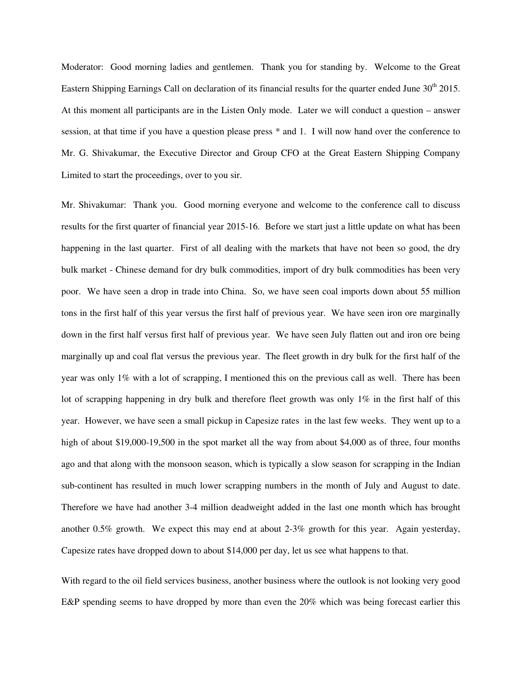Moderator: Good morning ladies and gentlemen. Thank you for standing by. Welcome to the Great Eastern Shipping Earnings Call on declaration of its financial results for the quarter ended June 30<sup>th</sup> 2015. At this moment all participants are in the Listen Only mode. Later we will conduct a question – answer session, at that time if you have a question please press \* and 1. I will now hand over the conference to Mr. G. Shivakumar, the Executive Director and Group CFO at the Great Eastern Shipping Company Limited to start the proceedings, over to you sir.

Mr. Shivakumar: Thank you. Good morning everyone and welcome to the conference call to discuss results for the first quarter of financial year 2015-16. Before we start just a little update on what has been happening in the last quarter. First of all dealing with the markets that have not been so good, the dry bulk market - Chinese demand for dry bulk commodities, import of dry bulk commodities has been very poor. We have seen a drop in trade into China. So, we have seen coal imports down about 55 million tons in the first half of this year versus the first half of previous year. We have seen iron ore marginally down in the first half versus first half of previous year. We have seen July flatten out and iron ore being marginally up and coal flat versus the previous year. The fleet growth in dry bulk for the first half of the year was only 1% with a lot of scrapping, I mentioned this on the previous call as well. There has been lot of scrapping happening in dry bulk and therefore fleet growth was only 1% in the first half of this year. However, we have seen a small pickup in Capesize rates in the last few weeks. They went up to a high of about \$19,000-19,500 in the spot market all the way from about \$4,000 as of three, four months ago and that along with the monsoon season, which is typically a slow season for scrapping in the Indian sub-continent has resulted in much lower scrapping numbers in the month of July and August to date. Therefore we have had another 3-4 million deadweight added in the last one month which has brought another 0.5% growth. We expect this may end at about 2-3% growth for this year. Again yesterday, Capesize rates have dropped down to about \$14,000 per day, let us see what happens to that.

With regard to the oil field services business, another business where the outlook is not looking very good E&P spending seems to have dropped by more than even the 20% which was being forecast earlier this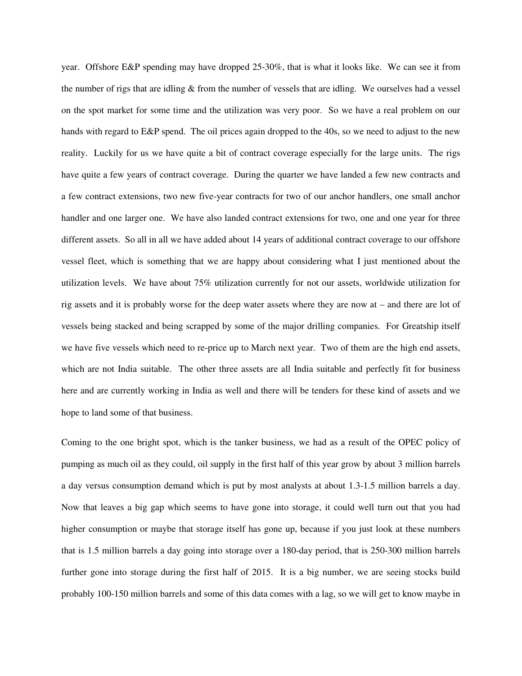year. Offshore E&P spending may have dropped 25-30%, that is what it looks like. We can see it from the number of rigs that are idling  $&$  from the number of vessels that are idling. We ourselves had a vessel on the spot market for some time and the utilization was very poor. So we have a real problem on our hands with regard to E&P spend. The oil prices again dropped to the 40s, so we need to adjust to the new reality. Luckily for us we have quite a bit of contract coverage especially for the large units. The rigs have quite a few years of contract coverage. During the quarter we have landed a few new contracts and a few contract extensions, two new five-year contracts for two of our anchor handlers, one small anchor handler and one larger one. We have also landed contract extensions for two, one and one year for three different assets. So all in all we have added about 14 years of additional contract coverage to our offshore vessel fleet, which is something that we are happy about considering what I just mentioned about the utilization levels. We have about 75% utilization currently for not our assets, worldwide utilization for rig assets and it is probably worse for the deep water assets where they are now at – and there are lot of vessels being stacked and being scrapped by some of the major drilling companies. For Greatship itself we have five vessels which need to re-price up to March next year. Two of them are the high end assets, which are not India suitable. The other three assets are all India suitable and perfectly fit for business here and are currently working in India as well and there will be tenders for these kind of assets and we hope to land some of that business.

Coming to the one bright spot, which is the tanker business, we had as a result of the OPEC policy of pumping as much oil as they could, oil supply in the first half of this year grow by about 3 million barrels a day versus consumption demand which is put by most analysts at about 1.3-1.5 million barrels a day. Now that leaves a big gap which seems to have gone into storage, it could well turn out that you had higher consumption or maybe that storage itself has gone up, because if you just look at these numbers that is 1.5 million barrels a day going into storage over a 180-day period, that is 250-300 million barrels further gone into storage during the first half of 2015. It is a big number, we are seeing stocks build probably 100-150 million barrels and some of this data comes with a lag, so we will get to know maybe in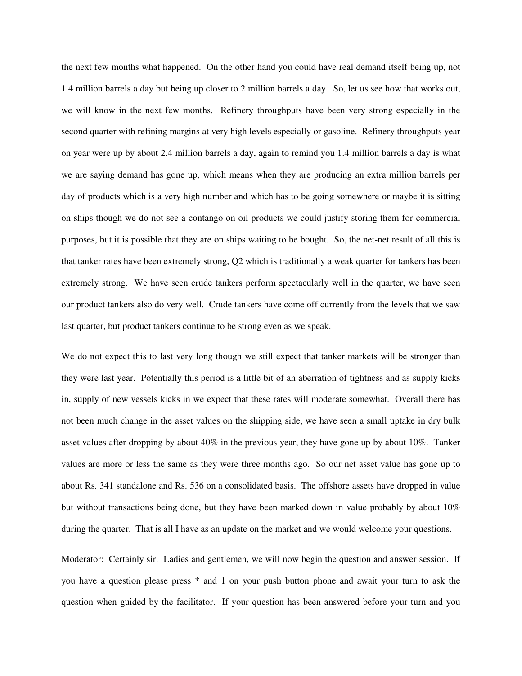the next few months what happened. On the other hand you could have real demand itself being up, not 1.4 million barrels a day but being up closer to 2 million barrels a day. So, let us see how that works out, we will know in the next few months. Refinery throughputs have been very strong especially in the second quarter with refining margins at very high levels especially or gasoline. Refinery throughputs year on year were up by about 2.4 million barrels a day, again to remind you 1.4 million barrels a day is what we are saying demand has gone up, which means when they are producing an extra million barrels per day of products which is a very high number and which has to be going somewhere or maybe it is sitting on ships though we do not see a contango on oil products we could justify storing them for commercial purposes, but it is possible that they are on ships waiting to be bought. So, the net-net result of all this is that tanker rates have been extremely strong, Q2 which is traditionally a weak quarter for tankers has been extremely strong. We have seen crude tankers perform spectacularly well in the quarter, we have seen our product tankers also do very well. Crude tankers have come off currently from the levels that we saw last quarter, but product tankers continue to be strong even as we speak.

We do not expect this to last very long though we still expect that tanker markets will be stronger than they were last year. Potentially this period is a little bit of an aberration of tightness and as supply kicks in, supply of new vessels kicks in we expect that these rates will moderate somewhat. Overall there has not been much change in the asset values on the shipping side, we have seen a small uptake in dry bulk asset values after dropping by about 40% in the previous year, they have gone up by about 10%. Tanker values are more or less the same as they were three months ago. So our net asset value has gone up to about Rs. 341 standalone and Rs. 536 on a consolidated basis. The offshore assets have dropped in value but without transactions being done, but they have been marked down in value probably by about 10% during the quarter. That is all I have as an update on the market and we would welcome your questions.

Moderator: Certainly sir. Ladies and gentlemen, we will now begin the question and answer session. If you have a question please press \* and 1 on your push button phone and await your turn to ask the question when guided by the facilitator. If your question has been answered before your turn and you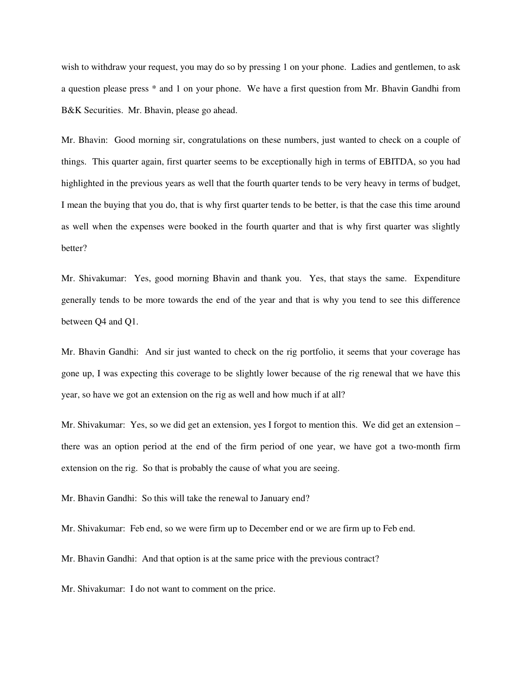wish to withdraw your request, you may do so by pressing 1 on your phone. Ladies and gentlemen, to ask a question please press \* and 1 on your phone. We have a first question from Mr. Bhavin Gandhi from B&K Securities. Mr. Bhavin, please go ahead.

Mr. Bhavin: Good morning sir, congratulations on these numbers, just wanted to check on a couple of things. This quarter again, first quarter seems to be exceptionally high in terms of EBITDA, so you had highlighted in the previous years as well that the fourth quarter tends to be very heavy in terms of budget, I mean the buying that you do, that is why first quarter tends to be better, is that the case this time around as well when the expenses were booked in the fourth quarter and that is why first quarter was slightly better?

Mr. Shivakumar: Yes, good morning Bhavin and thank you. Yes, that stays the same. Expenditure generally tends to be more towards the end of the year and that is why you tend to see this difference between Q4 and Q1.

Mr. Bhavin Gandhi: And sir just wanted to check on the rig portfolio, it seems that your coverage has gone up, I was expecting this coverage to be slightly lower because of the rig renewal that we have this year, so have we got an extension on the rig as well and how much if at all?

Mr. Shivakumar: Yes, so we did get an extension, yes I forgot to mention this. We did get an extension – there was an option period at the end of the firm period of one year, we have got a two-month firm extension on the rig. So that is probably the cause of what you are seeing.

Mr. Bhavin Gandhi: So this will take the renewal to January end?

Mr. Shivakumar: Feb end, so we were firm up to December end or we are firm up to Feb end.

Mr. Bhavin Gandhi: And that option is at the same price with the previous contract?

Mr. Shivakumar: I do not want to comment on the price.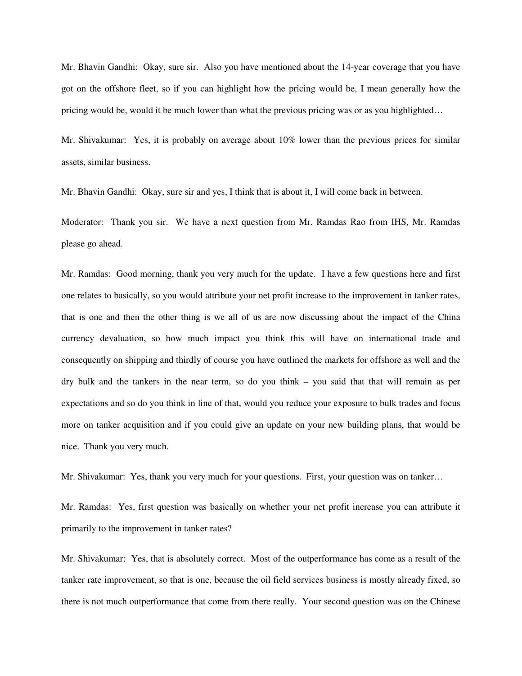Mr. Bhavin Gandhi: Okay, sure sir. Also you have mentioned about the 14-year coverage that you have got on the offshore fleet, so if you can highlight how the pricing would be, I mean generally how the pricing would be, would it be much lower than what the previous pricing was or as you highlighted…

Mr. Shivakumar: Yes, it is probably on average about 10% lower than the previous prices for similar assets, similar business.

Mr. Bhavin Gandhi: Okay, sure sir and yes, I think that is about it, I will come back in between.

Moderator: Thank you sir. We have a next question from Mr. Ramdas Rao from IHS, Mr. Ramdas please go ahead.

Mr. Ramdas: Good morning, thank you very much for the update. I have a few questions here and first one relates to basically, so you would attribute your net profit increase to the improvement in tanker rates, that is one and then the other thing is we all of us are now discussing about the impact of the China currency devaluation, so how much impact you think this will have on international trade and consequently on shipping and thirdly of course you have outlined the markets for offshore as well and the dry bulk and the tankers in the near term, so do you think – you said that that will remain as per expectations and so do you think in line of that, would you reduce your exposure to bulk trades and focus more on tanker acquisition and if you could give an update on your new building plans, that would be nice. Thank you very much.

Mr. Shivakumar: Yes, thank you very much for your questions. First, your question was on tanker…

Mr. Ramdas: Yes, first question was basically on whether your net profit increase you can attribute it primarily to the improvement in tanker rates?

Mr. Shivakumar: Yes, that is absolutely correct. Most of the outperformance has come as a result of the tanker rate improvement, so that is one, because the oil field services business is mostly already fixed, so there is not much outperformance that come from there really. Your second question was on the Chinese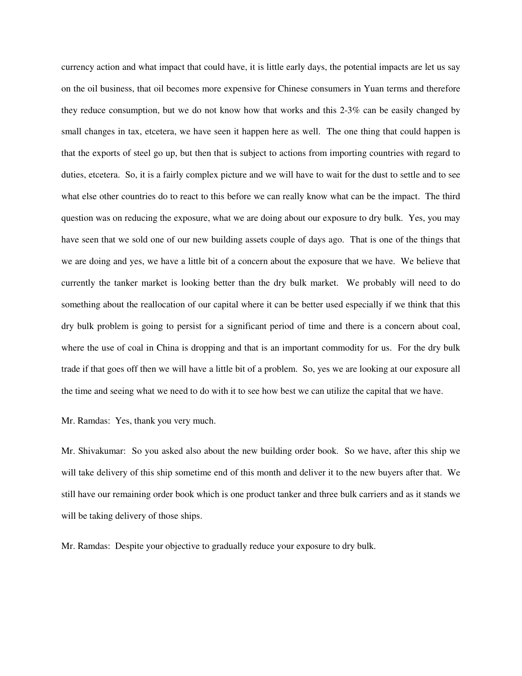currency action and what impact that could have, it is little early days, the potential impacts are let us say on the oil business, that oil becomes more expensive for Chinese consumers in Yuan terms and therefore they reduce consumption, but we do not know how that works and this 2-3% can be easily changed by small changes in tax, etcetera, we have seen it happen here as well. The one thing that could happen is that the exports of steel go up, but then that is subject to actions from importing countries with regard to duties, etcetera. So, it is a fairly complex picture and we will have to wait for the dust to settle and to see what else other countries do to react to this before we can really know what can be the impact. The third question was on reducing the exposure, what we are doing about our exposure to dry bulk. Yes, you may have seen that we sold one of our new building assets couple of days ago. That is one of the things that we are doing and yes, we have a little bit of a concern about the exposure that we have. We believe that currently the tanker market is looking better than the dry bulk market. We probably will need to do something about the reallocation of our capital where it can be better used especially if we think that this dry bulk problem is going to persist for a significant period of time and there is a concern about coal, where the use of coal in China is dropping and that is an important commodity for us. For the dry bulk trade if that goes off then we will have a little bit of a problem. So, yes we are looking at our exposure all the time and seeing what we need to do with it to see how best we can utilize the capital that we have.

Mr. Ramdas: Yes, thank you very much.

Mr. Shivakumar: So you asked also about the new building order book. So we have, after this ship we will take delivery of this ship sometime end of this month and deliver it to the new buyers after that. We still have our remaining order book which is one product tanker and three bulk carriers and as it stands we will be taking delivery of those ships.

Mr. Ramdas: Despite your objective to gradually reduce your exposure to dry bulk.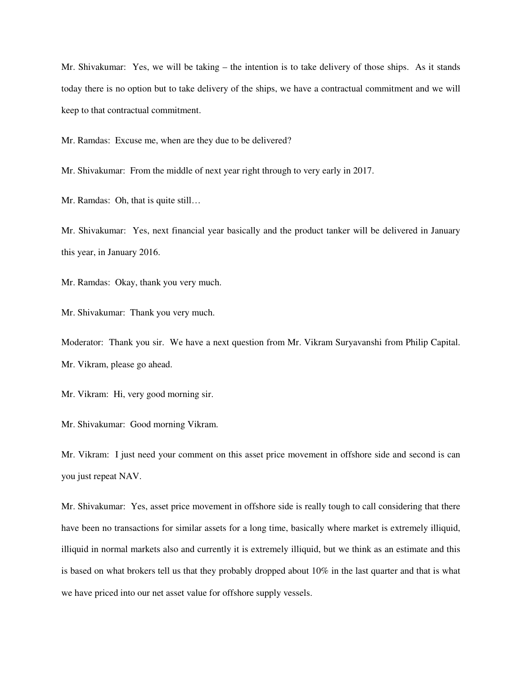Mr. Shivakumar: Yes, we will be taking – the intention is to take delivery of those ships. As it stands today there is no option but to take delivery of the ships, we have a contractual commitment and we will keep to that contractual commitment.

Mr. Ramdas: Excuse me, when are they due to be delivered?

Mr. Shivakumar: From the middle of next year right through to very early in 2017.

Mr. Ramdas: Oh, that is quite still…

Mr. Shivakumar: Yes, next financial year basically and the product tanker will be delivered in January this year, in January 2016.

Mr. Ramdas: Okay, thank you very much.

Mr. Shivakumar: Thank you very much.

Moderator: Thank you sir. We have a next question from Mr. Vikram Suryavanshi from Philip Capital. Mr. Vikram, please go ahead.

Mr. Vikram: Hi, very good morning sir.

Mr. Shivakumar: Good morning Vikram.

Mr. Vikram: I just need your comment on this asset price movement in offshore side and second is can you just repeat NAV.

Mr. Shivakumar: Yes, asset price movement in offshore side is really tough to call considering that there have been no transactions for similar assets for a long time, basically where market is extremely illiquid, illiquid in normal markets also and currently it is extremely illiquid, but we think as an estimate and this is based on what brokers tell us that they probably dropped about 10% in the last quarter and that is what we have priced into our net asset value for offshore supply vessels.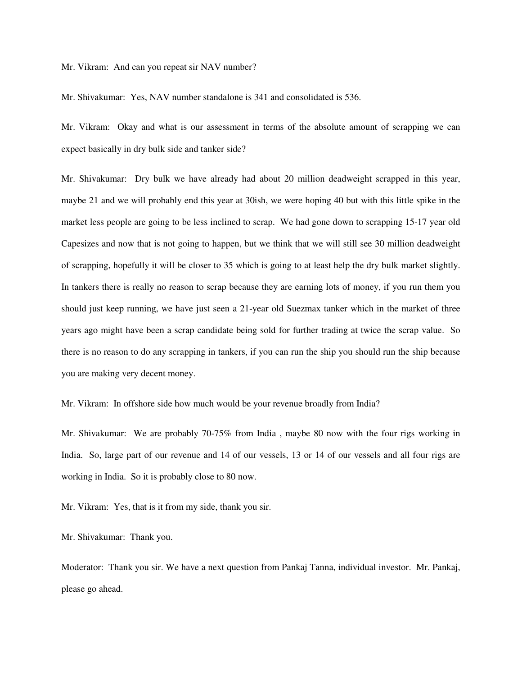Mr. Vikram: And can you repeat sir NAV number?

Mr. Shivakumar: Yes, NAV number standalone is 341 and consolidated is 536.

Mr. Vikram: Okay and what is our assessment in terms of the absolute amount of scrapping we can expect basically in dry bulk side and tanker side?

Mr. Shivakumar: Dry bulk we have already had about 20 million deadweight scrapped in this year, maybe 21 and we will probably end this year at 30ish, we were hoping 40 but with this little spike in the market less people are going to be less inclined to scrap. We had gone down to scrapping 15-17 year old Capesizes and now that is not going to happen, but we think that we will still see 30 million deadweight of scrapping, hopefully it will be closer to 35 which is going to at least help the dry bulk market slightly. In tankers there is really no reason to scrap because they are earning lots of money, if you run them you should just keep running, we have just seen a 21-year old Suezmax tanker which in the market of three years ago might have been a scrap candidate being sold for further trading at twice the scrap value. So there is no reason to do any scrapping in tankers, if you can run the ship you should run the ship because you are making very decent money.

Mr. Vikram: In offshore side how much would be your revenue broadly from India?

Mr. Shivakumar: We are probably 70-75% from India , maybe 80 now with the four rigs working in India. So, large part of our revenue and 14 of our vessels, 13 or 14 of our vessels and all four rigs are working in India. So it is probably close to 80 now.

Mr. Vikram: Yes, that is it from my side, thank you sir.

Mr. Shivakumar: Thank you.

Moderator: Thank you sir. We have a next question from Pankaj Tanna, individual investor. Mr. Pankaj, please go ahead.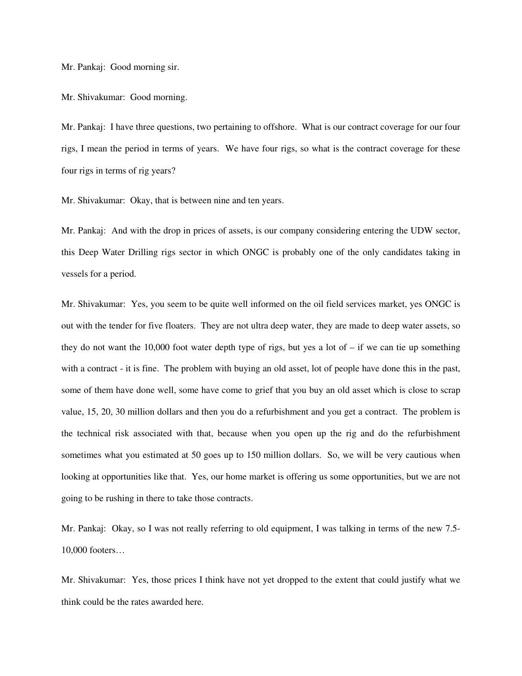Mr. Pankaj: Good morning sir.

Mr. Shivakumar: Good morning.

Mr. Pankaj: I have three questions, two pertaining to offshore. What is our contract coverage for our four rigs, I mean the period in terms of years. We have four rigs, so what is the contract coverage for these four rigs in terms of rig years?

Mr. Shivakumar: Okay, that is between nine and ten years.

Mr. Pankaj: And with the drop in prices of assets, is our company considering entering the UDW sector, this Deep Water Drilling rigs sector in which ONGC is probably one of the only candidates taking in vessels for a period.

Mr. Shivakumar: Yes, you seem to be quite well informed on the oil field services market, yes ONGC is out with the tender for five floaters. They are not ultra deep water, they are made to deep water assets, so they do not want the 10,000 foot water depth type of rigs, but yes a lot of  $-$  if we can tie up something with a contract - it is fine. The problem with buying an old asset, lot of people have done this in the past, some of them have done well, some have come to grief that you buy an old asset which is close to scrap value, 15, 20, 30 million dollars and then you do a refurbishment and you get a contract. The problem is the technical risk associated with that, because when you open up the rig and do the refurbishment sometimes what you estimated at 50 goes up to 150 million dollars. So, we will be very cautious when looking at opportunities like that. Yes, our home market is offering us some opportunities, but we are not going to be rushing in there to take those contracts.

Mr. Pankaj: Okay, so I was not really referring to old equipment, I was talking in terms of the new 7.5- 10,000 footers…

Mr. Shivakumar: Yes, those prices I think have not yet dropped to the extent that could justify what we think could be the rates awarded here.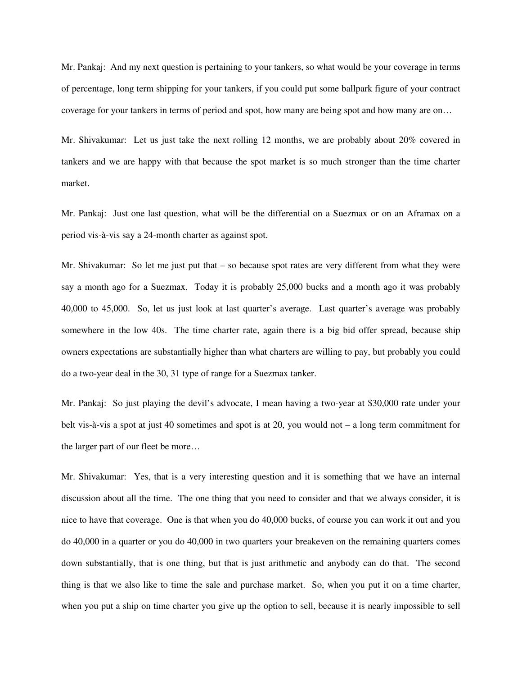Mr. Pankaj: And my next question is pertaining to your tankers, so what would be your coverage in terms of percentage, long term shipping for your tankers, if you could put some ballpark figure of your contract coverage for your tankers in terms of period and spot, how many are being spot and how many are on…

Mr. Shivakumar: Let us just take the next rolling 12 months, we are probably about 20% covered in tankers and we are happy with that because the spot market is so much stronger than the time charter market.

Mr. Pankaj: Just one last question, what will be the differential on a Suezmax or on an Aframax on a period vis-à-vis say a 24-month charter as against spot.

Mr. Shivakumar: So let me just put that – so because spot rates are very different from what they were say a month ago for a Suezmax. Today it is probably 25,000 bucks and a month ago it was probably 40,000 to 45,000. So, let us just look at last quarter's average. Last quarter's average was probably somewhere in the low 40s. The time charter rate, again there is a big bid offer spread, because ship owners expectations are substantially higher than what charters are willing to pay, but probably you could do a two-year deal in the 30, 31 type of range for a Suezmax tanker.

Mr. Pankaj: So just playing the devil's advocate, I mean having a two-year at \$30,000 rate under your belt vis-à-vis a spot at just 40 sometimes and spot is at 20, you would not – a long term commitment for the larger part of our fleet be more…

Mr. Shivakumar: Yes, that is a very interesting question and it is something that we have an internal discussion about all the time. The one thing that you need to consider and that we always consider, it is nice to have that coverage. One is that when you do 40,000 bucks, of course you can work it out and you do 40,000 in a quarter or you do 40,000 in two quarters your breakeven on the remaining quarters comes down substantially, that is one thing, but that is just arithmetic and anybody can do that. The second thing is that we also like to time the sale and purchase market. So, when you put it on a time charter, when you put a ship on time charter you give up the option to sell, because it is nearly impossible to sell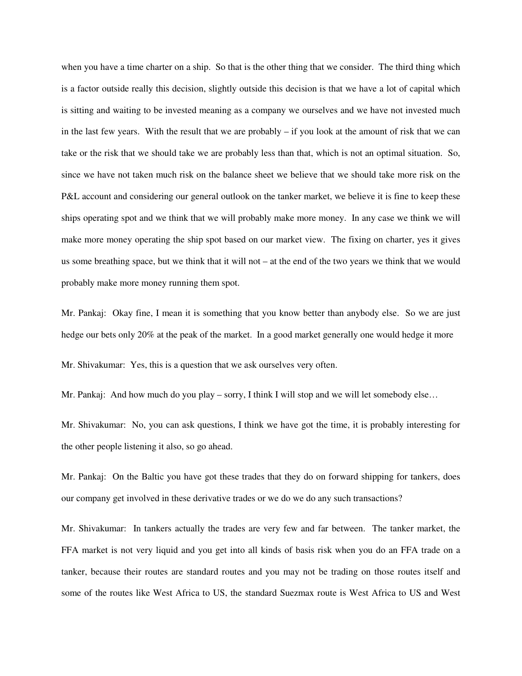when you have a time charter on a ship. So that is the other thing that we consider. The third thing which is a factor outside really this decision, slightly outside this decision is that we have a lot of capital which is sitting and waiting to be invested meaning as a company we ourselves and we have not invested much in the last few years. With the result that we are probably – if you look at the amount of risk that we can take or the risk that we should take we are probably less than that, which is not an optimal situation. So, since we have not taken much risk on the balance sheet we believe that we should take more risk on the P&L account and considering our general outlook on the tanker market, we believe it is fine to keep these ships operating spot and we think that we will probably make more money. In any case we think we will make more money operating the ship spot based on our market view. The fixing on charter, yes it gives us some breathing space, but we think that it will not – at the end of the two years we think that we would probably make more money running them spot.

Mr. Pankaj: Okay fine, I mean it is something that you know better than anybody else. So we are just hedge our bets only 20% at the peak of the market. In a good market generally one would hedge it more

Mr. Shivakumar: Yes, this is a question that we ask ourselves very often.

Mr. Pankaj: And how much do you play – sorry, I think I will stop and we will let somebody else...

Mr. Shivakumar: No, you can ask questions, I think we have got the time, it is probably interesting for the other people listening it also, so go ahead.

Mr. Pankaj: On the Baltic you have got these trades that they do on forward shipping for tankers, does our company get involved in these derivative trades or we do we do any such transactions?

Mr. Shivakumar: In tankers actually the trades are very few and far between. The tanker market, the FFA market is not very liquid and you get into all kinds of basis risk when you do an FFA trade on a tanker, because their routes are standard routes and you may not be trading on those routes itself and some of the routes like West Africa to US, the standard Suezmax route is West Africa to US and West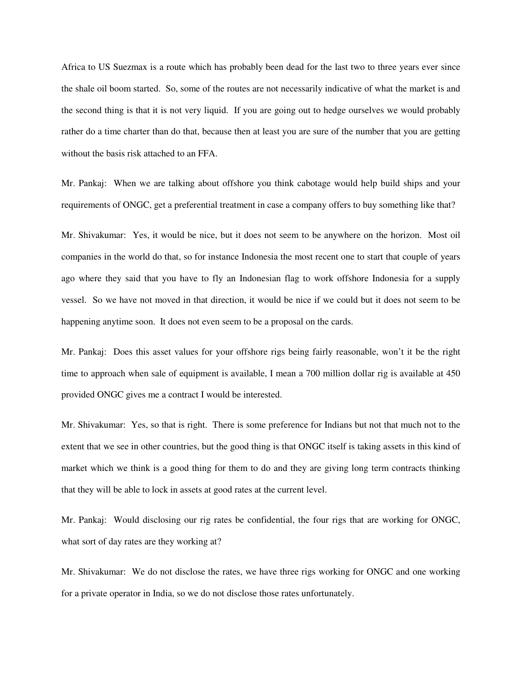Africa to US Suezmax is a route which has probably been dead for the last two to three years ever since the shale oil boom started. So, some of the routes are not necessarily indicative of what the market is and the second thing is that it is not very liquid. If you are going out to hedge ourselves we would probably rather do a time charter than do that, because then at least you are sure of the number that you are getting without the basis risk attached to an FFA.

Mr. Pankaj: When we are talking about offshore you think cabotage would help build ships and your requirements of ONGC, get a preferential treatment in case a company offers to buy something like that?

Mr. Shivakumar: Yes, it would be nice, but it does not seem to be anywhere on the horizon. Most oil companies in the world do that, so for instance Indonesia the most recent one to start that couple of years ago where they said that you have to fly an Indonesian flag to work offshore Indonesia for a supply vessel. So we have not moved in that direction, it would be nice if we could but it does not seem to be happening anytime soon. It does not even seem to be a proposal on the cards.

Mr. Pankaj: Does this asset values for your offshore rigs being fairly reasonable, won't it be the right time to approach when sale of equipment is available, I mean a 700 million dollar rig is available at 450 provided ONGC gives me a contract I would be interested.

Mr. Shivakumar: Yes, so that is right. There is some preference for Indians but not that much not to the extent that we see in other countries, but the good thing is that ONGC itself is taking assets in this kind of market which we think is a good thing for them to do and they are giving long term contracts thinking that they will be able to lock in assets at good rates at the current level.

Mr. Pankaj: Would disclosing our rig rates be confidential, the four rigs that are working for ONGC, what sort of day rates are they working at?

Mr. Shivakumar: We do not disclose the rates, we have three rigs working for ONGC and one working for a private operator in India, so we do not disclose those rates unfortunately.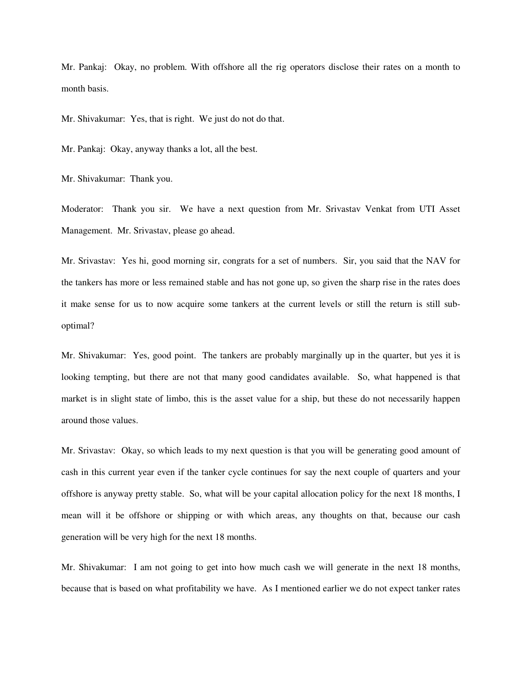Mr. Pankaj: Okay, no problem. With offshore all the rig operators disclose their rates on a month to month basis.

Mr. Shivakumar: Yes, that is right. We just do not do that.

Mr. Pankaj: Okay, anyway thanks a lot, all the best.

Mr. Shivakumar: Thank you.

Moderator: Thank you sir. We have a next question from Mr. Srivastav Venkat from UTI Asset Management. Mr. Srivastav, please go ahead.

Mr. Srivastav: Yes hi, good morning sir, congrats for a set of numbers. Sir, you said that the NAV for the tankers has more or less remained stable and has not gone up, so given the sharp rise in the rates does it make sense for us to now acquire some tankers at the current levels or still the return is still suboptimal?

Mr. Shivakumar: Yes, good point. The tankers are probably marginally up in the quarter, but yes it is looking tempting, but there are not that many good candidates available. So, what happened is that market is in slight state of limbo, this is the asset value for a ship, but these do not necessarily happen around those values.

Mr. Srivastav: Okay, so which leads to my next question is that you will be generating good amount of cash in this current year even if the tanker cycle continues for say the next couple of quarters and your offshore is anyway pretty stable. So, what will be your capital allocation policy for the next 18 months, I mean will it be offshore or shipping or with which areas, any thoughts on that, because our cash generation will be very high for the next 18 months.

Mr. Shivakumar: I am not going to get into how much cash we will generate in the next 18 months, because that is based on what profitability we have. As I mentioned earlier we do not expect tanker rates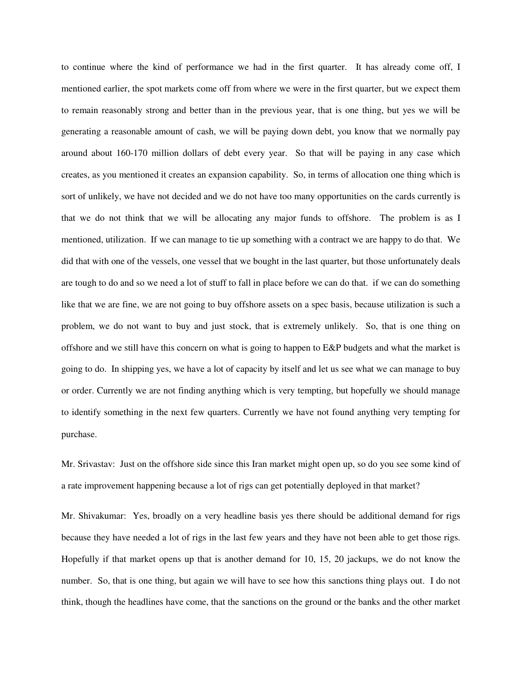to continue where the kind of performance we had in the first quarter. It has already come off, I mentioned earlier, the spot markets come off from where we were in the first quarter, but we expect them to remain reasonably strong and better than in the previous year, that is one thing, but yes we will be generating a reasonable amount of cash, we will be paying down debt, you know that we normally pay around about 160-170 million dollars of debt every year. So that will be paying in any case which creates, as you mentioned it creates an expansion capability. So, in terms of allocation one thing which is sort of unlikely, we have not decided and we do not have too many opportunities on the cards currently is that we do not think that we will be allocating any major funds to offshore. The problem is as I mentioned, utilization. If we can manage to tie up something with a contract we are happy to do that. We did that with one of the vessels, one vessel that we bought in the last quarter, but those unfortunately deals are tough to do and so we need a lot of stuff to fall in place before we can do that. if we can do something like that we are fine, we are not going to buy offshore assets on a spec basis, because utilization is such a problem, we do not want to buy and just stock, that is extremely unlikely. So, that is one thing on offshore and we still have this concern on what is going to happen to E&P budgets and what the market is going to do. In shipping yes, we have a lot of capacity by itself and let us see what we can manage to buy or order. Currently we are not finding anything which is very tempting, but hopefully we should manage to identify something in the next few quarters. Currently we have not found anything very tempting for purchase.

Mr. Srivastav: Just on the offshore side since this Iran market might open up, so do you see some kind of a rate improvement happening because a lot of rigs can get potentially deployed in that market?

Mr. Shivakumar: Yes, broadly on a very headline basis yes there should be additional demand for rigs because they have needed a lot of rigs in the last few years and they have not been able to get those rigs. Hopefully if that market opens up that is another demand for 10, 15, 20 jackups, we do not know the number. So, that is one thing, but again we will have to see how this sanctions thing plays out. I do not think, though the headlines have come, that the sanctions on the ground or the banks and the other market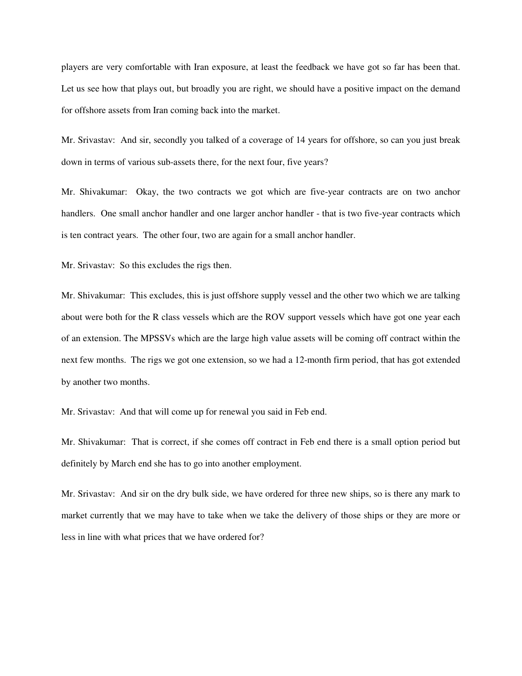players are very comfortable with Iran exposure, at least the feedback we have got so far has been that. Let us see how that plays out, but broadly you are right, we should have a positive impact on the demand for offshore assets from Iran coming back into the market.

Mr. Srivastav: And sir, secondly you talked of a coverage of 14 years for offshore, so can you just break down in terms of various sub-assets there, for the next four, five years?

Mr. Shivakumar: Okay, the two contracts we got which are five-year contracts are on two anchor handlers. One small anchor handler and one larger anchor handler - that is two five-year contracts which is ten contract years. The other four, two are again for a small anchor handler.

Mr. Srivastav: So this excludes the rigs then.

Mr. Shivakumar: This excludes, this is just offshore supply vessel and the other two which we are talking about were both for the R class vessels which are the ROV support vessels which have got one year each of an extension. The MPSSVs which are the large high value assets will be coming off contract within the next few months. The rigs we got one extension, so we had a 12-month firm period, that has got extended by another two months.

Mr. Srivastav: And that will come up for renewal you said in Feb end.

Mr. Shivakumar: That is correct, if she comes off contract in Feb end there is a small option period but definitely by March end she has to go into another employment.

Mr. Srivastav: And sir on the dry bulk side, we have ordered for three new ships, so is there any mark to market currently that we may have to take when we take the delivery of those ships or they are more or less in line with what prices that we have ordered for?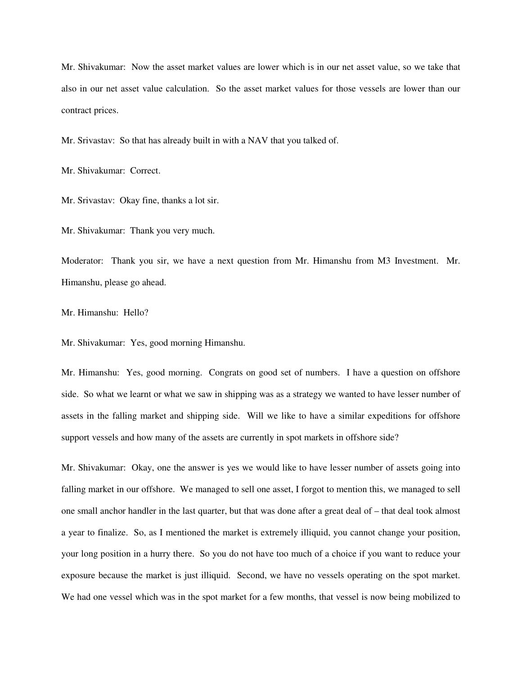Mr. Shivakumar: Now the asset market values are lower which is in our net asset value, so we take that also in our net asset value calculation. So the asset market values for those vessels are lower than our contract prices.

Mr. Srivastav: So that has already built in with a NAV that you talked of.

Mr. Shivakumar: Correct.

Mr. Srivastav: Okay fine, thanks a lot sir.

Mr. Shivakumar: Thank you very much.

Moderator: Thank you sir, we have a next question from Mr. Himanshu from M3 Investment. Mr. Himanshu, please go ahead.

Mr. Himanshu: Hello?

Mr. Shivakumar: Yes, good morning Himanshu.

Mr. Himanshu: Yes, good morning. Congrats on good set of numbers. I have a question on offshore side. So what we learnt or what we saw in shipping was as a strategy we wanted to have lesser number of assets in the falling market and shipping side. Will we like to have a similar expeditions for offshore support vessels and how many of the assets are currently in spot markets in offshore side?

Mr. Shivakumar: Okay, one the answer is yes we would like to have lesser number of assets going into falling market in our offshore. We managed to sell one asset, I forgot to mention this, we managed to sell one small anchor handler in the last quarter, but that was done after a great deal of – that deal took almost a year to finalize. So, as I mentioned the market is extremely illiquid, you cannot change your position, your long position in a hurry there. So you do not have too much of a choice if you want to reduce your exposure because the market is just illiquid. Second, we have no vessels operating on the spot market. We had one vessel which was in the spot market for a few months, that vessel is now being mobilized to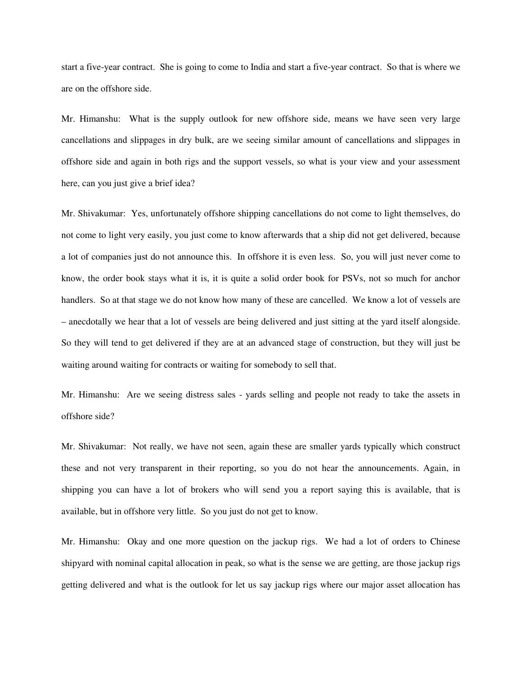start a five-year contract. She is going to come to India and start a five-year contract. So that is where we are on the offshore side.

Mr. Himanshu: What is the supply outlook for new offshore side, means we have seen very large cancellations and slippages in dry bulk, are we seeing similar amount of cancellations and slippages in offshore side and again in both rigs and the support vessels, so what is your view and your assessment here, can you just give a brief idea?

Mr. Shivakumar: Yes, unfortunately offshore shipping cancellations do not come to light themselves, do not come to light very easily, you just come to know afterwards that a ship did not get delivered, because a lot of companies just do not announce this. In offshore it is even less. So, you will just never come to know, the order book stays what it is, it is quite a solid order book for PSVs, not so much for anchor handlers. So at that stage we do not know how many of these are cancelled. We know a lot of vessels are – anecdotally we hear that a lot of vessels are being delivered and just sitting at the yard itself alongside. So they will tend to get delivered if they are at an advanced stage of construction, but they will just be waiting around waiting for contracts or waiting for somebody to sell that.

Mr. Himanshu: Are we seeing distress sales - yards selling and people not ready to take the assets in offshore side?

Mr. Shivakumar: Not really, we have not seen, again these are smaller yards typically which construct these and not very transparent in their reporting, so you do not hear the announcements. Again, in shipping you can have a lot of brokers who will send you a report saying this is available, that is available, but in offshore very little. So you just do not get to know.

Mr. Himanshu: Okay and one more question on the jackup rigs. We had a lot of orders to Chinese shipyard with nominal capital allocation in peak, so what is the sense we are getting, are those jackup rigs getting delivered and what is the outlook for let us say jackup rigs where our major asset allocation has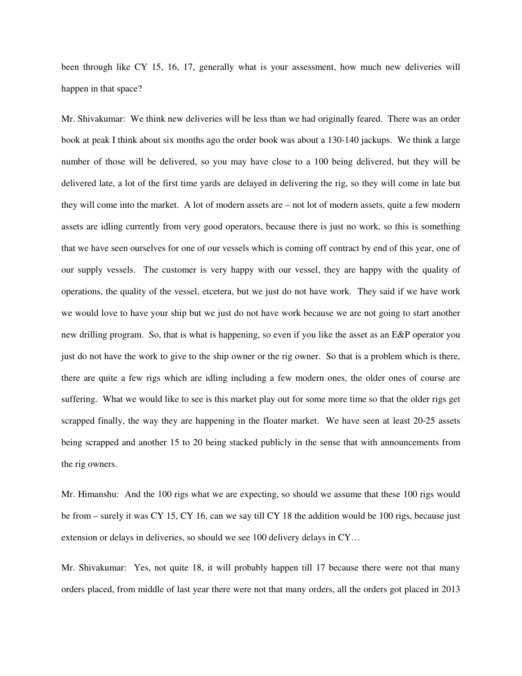been through like CY 15, 16, 17, generally what is your assessment, how much new deliveries will happen in that space?

Mr. Shivakumar: We think new deliveries will be less than we had originally feared. There was an order book at peak I think about six months ago the order book was about a 130-140 jackups. We think a large number of those will be delivered, so you may have close to a 100 being delivered, but they will be delivered late, a lot of the first time yards are delayed in delivering the rig, so they will come in late but they will come into the market. A lot of modern assets are – not lot of modern assets, quite a few modern assets are idling currently from very good operators, because there is just no work, so this is something that we have seen ourselves for one of our vessels which is coming off contract by end of this year, one of our supply vessels. The customer is very happy with our vessel, they are happy with the quality of operations, the quality of the vessel, etcetera, but we just do not have work. They said if we have work we would love to have your ship but we just do not have work because we are not going to start another new drilling program. So, that is what is happening, so even if you like the asset as an E&P operator you just do not have the work to give to the ship owner or the rig owner. So that is a problem which is there, there are quite a few rigs which are idling including a few modern ones, the older ones of course are suffering. What we would like to see is this market play out for some more time so that the older rigs get scrapped finally, the way they are happening in the floater market. We have seen at least 20-25 assets being scrapped and another 15 to 20 being stacked publicly in the sense that with announcements from the rig owners.

Mr. Himanshu: And the 100 rigs what we are expecting, so should we assume that these 100 rigs would be from – surely it was CY 15, CY 16, can we say till CY 18 the addition would be 100 rigs, because just extension or delays in deliveries, so should we see 100 delivery delays in CY…

Mr. Shivakumar: Yes, not quite 18, it will probably happen till 17 because there were not that many orders placed, from middle of last year there were not that many orders, all the orders got placed in 2013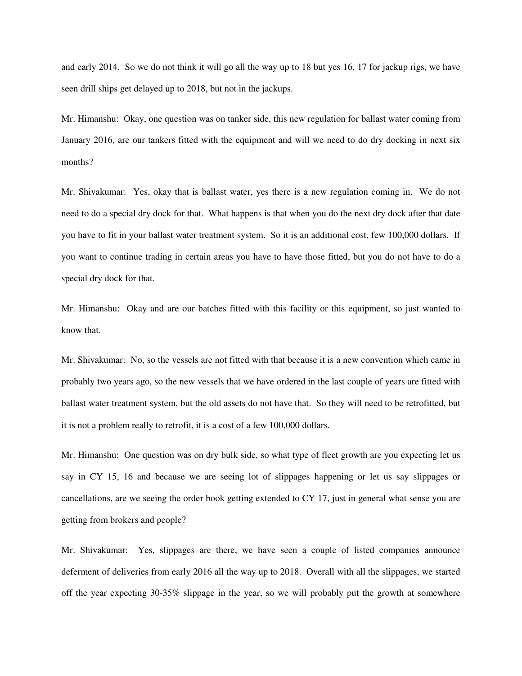and early 2014. So we do not think it will go all the way up to 18 but yes 16, 17 for jackup rigs, we have seen drill ships get delayed up to 2018, but not in the jackups.

Mr. Himanshu: Okay, one question was on tanker side, this new regulation for ballast water coming from January 2016, are our tankers fitted with the equipment and will we need to do dry docking in next six months?

Mr. Shivakumar: Yes, okay that is ballast water, yes there is a new regulation coming in. We do not need to do a special dry dock for that. What happens is that when you do the next dry dock after that date you have to fit in your ballast water treatment system. So it is an additional cost, few 100,000 dollars. If you want to continue trading in certain areas you have to have those fitted, but you do not have to do a special dry dock for that.

Mr. Himanshu: Okay and are our batches fitted with this facility or this equipment, so just wanted to know that.

Mr. Shivakumar: No, so the vessels are not fitted with that because it is a new convention which came in probably two years ago, so the new vessels that we have ordered in the last couple of years are fitted with ballast water treatment system, but the old assets do not have that. So they will need to be retrofitted, but it is not a problem really to retrofit, it is a cost of a few 100,000 dollars.

Mr. Himanshu: One question was on dry bulk side, so what type of fleet growth are you expecting let us say in CY 15, 16 and because we are seeing lot of slippages happening or let us say slippages or cancellations, are we seeing the order book getting extended to CY 17, just in general what sense you are getting from brokers and people?

Mr. Shivakumar: Yes, slippages are there, we have seen a couple of listed companies announce deferment of deliveries from early 2016 all the way up to 2018. Overall with all the slippages, we started off the year expecting 30-35% slippage in the year, so we will probably put the growth at somewhere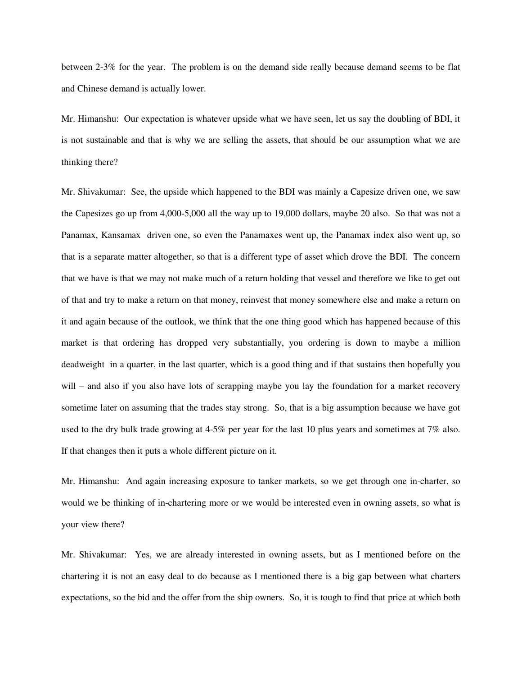between 2-3% for the year. The problem is on the demand side really because demand seems to be flat and Chinese demand is actually lower.

Mr. Himanshu: Our expectation is whatever upside what we have seen, let us say the doubling of BDI, it is not sustainable and that is why we are selling the assets, that should be our assumption what we are thinking there?

Mr. Shivakumar: See, the upside which happened to the BDI was mainly a Capesize driven one, we saw the Capesizes go up from 4,000-5,000 all the way up to 19,000 dollars, maybe 20 also. So that was not a Panamax, Kansamax driven one, so even the Panamaxes went up, the Panamax index also went up, so that is a separate matter altogether, so that is a different type of asset which drove the BDI. The concern that we have is that we may not make much of a return holding that vessel and therefore we like to get out of that and try to make a return on that money, reinvest that money somewhere else and make a return on it and again because of the outlook, we think that the one thing good which has happened because of this market is that ordering has dropped very substantially, you ordering is down to maybe a million deadweight in a quarter, in the last quarter, which is a good thing and if that sustains then hopefully you will – and also if you also have lots of scrapping maybe you lay the foundation for a market recovery sometime later on assuming that the trades stay strong. So, that is a big assumption because we have got used to the dry bulk trade growing at 4-5% per year for the last 10 plus years and sometimes at 7% also. If that changes then it puts a whole different picture on it.

Mr. Himanshu: And again increasing exposure to tanker markets, so we get through one in-charter, so would we be thinking of in-chartering more or we would be interested even in owning assets, so what is your view there?

Mr. Shivakumar: Yes, we are already interested in owning assets, but as I mentioned before on the chartering it is not an easy deal to do because as I mentioned there is a big gap between what charters expectations, so the bid and the offer from the ship owners. So, it is tough to find that price at which both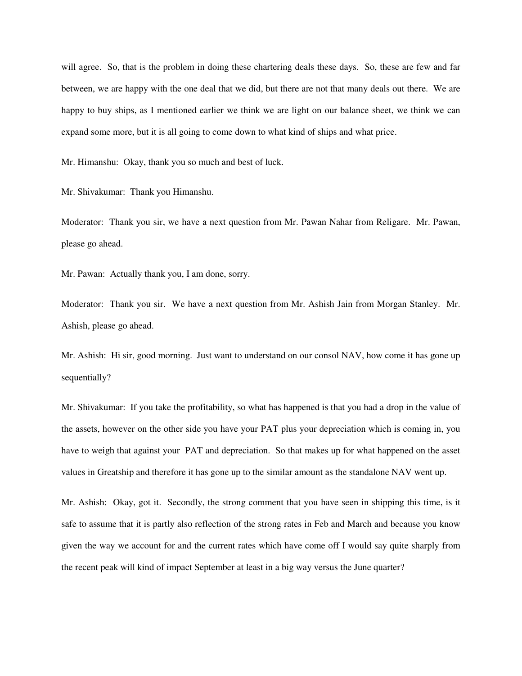will agree. So, that is the problem in doing these chartering deals these days. So, these are few and far between, we are happy with the one deal that we did, but there are not that many deals out there. We are happy to buy ships, as I mentioned earlier we think we are light on our balance sheet, we think we can expand some more, but it is all going to come down to what kind of ships and what price.

Mr. Himanshu: Okay, thank you so much and best of luck.

Mr. Shivakumar: Thank you Himanshu.

Moderator: Thank you sir, we have a next question from Mr. Pawan Nahar from Religare. Mr. Pawan, please go ahead.

Mr. Pawan: Actually thank you, I am done, sorry.

Moderator: Thank you sir. We have a next question from Mr. Ashish Jain from Morgan Stanley. Mr. Ashish, please go ahead.

Mr. Ashish: Hi sir, good morning. Just want to understand on our consol NAV, how come it has gone up sequentially?

Mr. Shivakumar: If you take the profitability, so what has happened is that you had a drop in the value of the assets, however on the other side you have your PAT plus your depreciation which is coming in, you have to weigh that against your PAT and depreciation. So that makes up for what happened on the asset values in Greatship and therefore it has gone up to the similar amount as the standalone NAV went up.

Mr. Ashish: Okay, got it. Secondly, the strong comment that you have seen in shipping this time, is it safe to assume that it is partly also reflection of the strong rates in Feb and March and because you know given the way we account for and the current rates which have come off I would say quite sharply from the recent peak will kind of impact September at least in a big way versus the June quarter?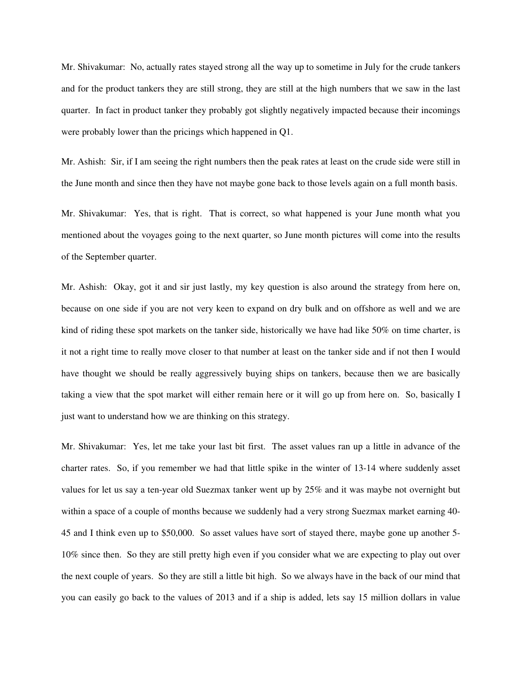Mr. Shivakumar: No, actually rates stayed strong all the way up to sometime in July for the crude tankers and for the product tankers they are still strong, they are still at the high numbers that we saw in the last quarter. In fact in product tanker they probably got slightly negatively impacted because their incomings were probably lower than the pricings which happened in Q1.

Mr. Ashish: Sir, if I am seeing the right numbers then the peak rates at least on the crude side were still in the June month and since then they have not maybe gone back to those levels again on a full month basis.

Mr. Shivakumar: Yes, that is right. That is correct, so what happened is your June month what you mentioned about the voyages going to the next quarter, so June month pictures will come into the results of the September quarter.

Mr. Ashish: Okay, got it and sir just lastly, my key question is also around the strategy from here on, because on one side if you are not very keen to expand on dry bulk and on offshore as well and we are kind of riding these spot markets on the tanker side, historically we have had like 50% on time charter, is it not a right time to really move closer to that number at least on the tanker side and if not then I would have thought we should be really aggressively buying ships on tankers, because then we are basically taking a view that the spot market will either remain here or it will go up from here on. So, basically I just want to understand how we are thinking on this strategy.

Mr. Shivakumar: Yes, let me take your last bit first. The asset values ran up a little in advance of the charter rates. So, if you remember we had that little spike in the winter of 13-14 where suddenly asset values for let us say a ten-year old Suezmax tanker went up by 25% and it was maybe not overnight but within a space of a couple of months because we suddenly had a very strong Suezmax market earning 40- 45 and I think even up to \$50,000. So asset values have sort of stayed there, maybe gone up another 5- 10% since then. So they are still pretty high even if you consider what we are expecting to play out over the next couple of years. So they are still a little bit high. So we always have in the back of our mind that you can easily go back to the values of 2013 and if a ship is added, lets say 15 million dollars in value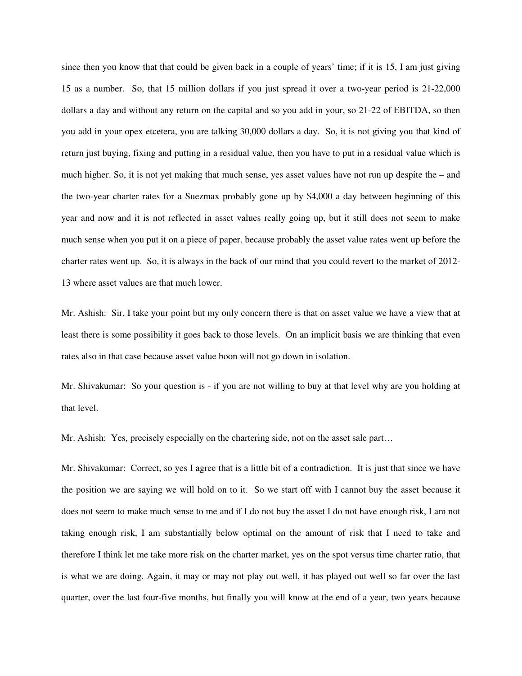since then you know that that could be given back in a couple of years' time; if it is 15, I am just giving 15 as a number. So, that 15 million dollars if you just spread it over a two-year period is 21-22,000 dollars a day and without any return on the capital and so you add in your, so 21-22 of EBITDA, so then you add in your opex etcetera, you are talking 30,000 dollars a day. So, it is not giving you that kind of return just buying, fixing and putting in a residual value, then you have to put in a residual value which is much higher. So, it is not yet making that much sense, yes asset values have not run up despite the – and the two-year charter rates for a Suezmax probably gone up by \$4,000 a day between beginning of this year and now and it is not reflected in asset values really going up, but it still does not seem to make much sense when you put it on a piece of paper, because probably the asset value rates went up before the charter rates went up. So, it is always in the back of our mind that you could revert to the market of 2012- 13 where asset values are that much lower.

Mr. Ashish: Sir, I take your point but my only concern there is that on asset value we have a view that at least there is some possibility it goes back to those levels. On an implicit basis we are thinking that even rates also in that case because asset value boon will not go down in isolation.

Mr. Shivakumar: So your question is - if you are not willing to buy at that level why are you holding at that level.

Mr. Ashish: Yes, precisely especially on the chartering side, not on the asset sale part…

Mr. Shivakumar: Correct, so yes I agree that is a little bit of a contradiction. It is just that since we have the position we are saying we will hold on to it. So we start off with I cannot buy the asset because it does not seem to make much sense to me and if I do not buy the asset I do not have enough risk, I am not taking enough risk, I am substantially below optimal on the amount of risk that I need to take and therefore I think let me take more risk on the charter market, yes on the spot versus time charter ratio, that is what we are doing. Again, it may or may not play out well, it has played out well so far over the last quarter, over the last four-five months, but finally you will know at the end of a year, two years because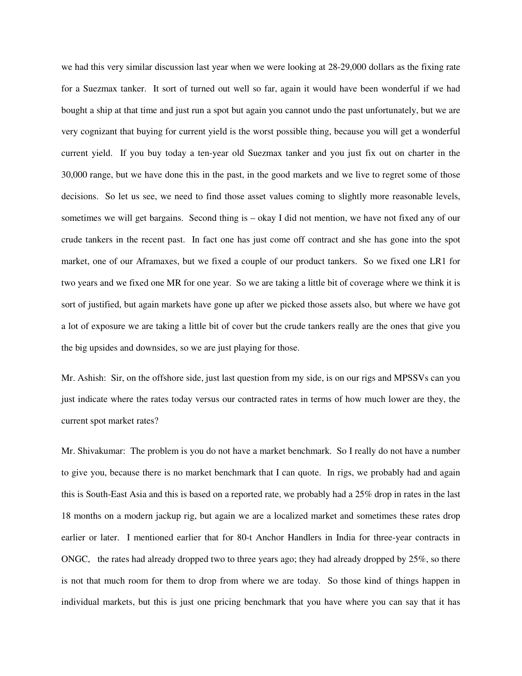we had this very similar discussion last year when we were looking at 28-29,000 dollars as the fixing rate for a Suezmax tanker. It sort of turned out well so far, again it would have been wonderful if we had bought a ship at that time and just run a spot but again you cannot undo the past unfortunately, but we are very cognizant that buying for current yield is the worst possible thing, because you will get a wonderful current yield. If you buy today a ten-year old Suezmax tanker and you just fix out on charter in the 30,000 range, but we have done this in the past, in the good markets and we live to regret some of those decisions. So let us see, we need to find those asset values coming to slightly more reasonable levels, sometimes we will get bargains. Second thing is – okay I did not mention, we have not fixed any of our crude tankers in the recent past. In fact one has just come off contract and she has gone into the spot market, one of our Aframaxes, but we fixed a couple of our product tankers. So we fixed one LR1 for two years and we fixed one MR for one year. So we are taking a little bit of coverage where we think it is sort of justified, but again markets have gone up after we picked those assets also, but where we have got a lot of exposure we are taking a little bit of cover but the crude tankers really are the ones that give you the big upsides and downsides, so we are just playing for those.

Mr. Ashish: Sir, on the offshore side, just last question from my side, is on our rigs and MPSSVs can you just indicate where the rates today versus our contracted rates in terms of how much lower are they, the current spot market rates?

Mr. Shivakumar: The problem is you do not have a market benchmark. So I really do not have a number to give you, because there is no market benchmark that I can quote. In rigs, we probably had and again this is South-East Asia and this is based on a reported rate, we probably had a 25% drop in rates in the last 18 months on a modern jackup rig, but again we are a localized market and sometimes these rates drop earlier or later. I mentioned earlier that for 80-t Anchor Handlers in India for three-year contracts in ONGC, the rates had already dropped two to three years ago; they had already dropped by 25%, so there is not that much room for them to drop from where we are today. So those kind of things happen in individual markets, but this is just one pricing benchmark that you have where you can say that it has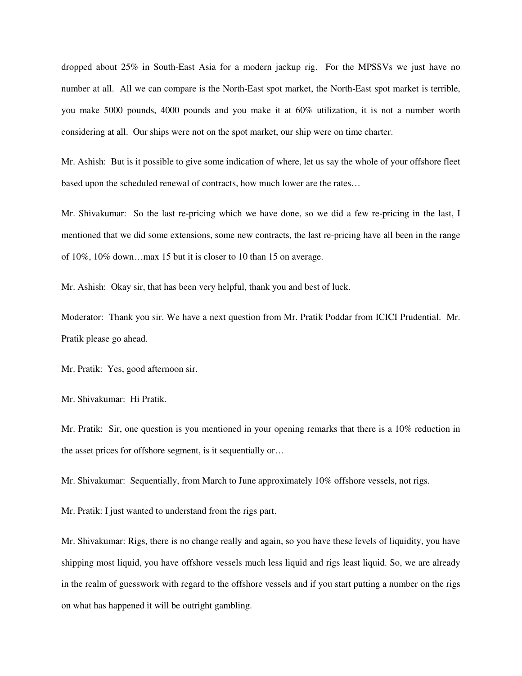dropped about 25% in South-East Asia for a modern jackup rig. For the MPSSVs we just have no number at all. All we can compare is the North-East spot market, the North-East spot market is terrible, you make 5000 pounds, 4000 pounds and you make it at 60% utilization, it is not a number worth considering at all. Our ships were not on the spot market, our ship were on time charter.

Mr. Ashish: But is it possible to give some indication of where, let us say the whole of your offshore fleet based upon the scheduled renewal of contracts, how much lower are the rates…

Mr. Shivakumar: So the last re-pricing which we have done, so we did a few re-pricing in the last, I mentioned that we did some extensions, some new contracts, the last re-pricing have all been in the range of 10%, 10% down…max 15 but it is closer to 10 than 15 on average.

Mr. Ashish: Okay sir, that has been very helpful, thank you and best of luck.

Moderator: Thank you sir. We have a next question from Mr. Pratik Poddar from ICICI Prudential. Mr. Pratik please go ahead.

Mr. Pratik: Yes, good afternoon sir.

Mr. Shivakumar: Hi Pratik.

Mr. Pratik: Sir, one question is you mentioned in your opening remarks that there is a 10% reduction in the asset prices for offshore segment, is it sequentially or…

Mr. Shivakumar: Sequentially, from March to June approximately 10% offshore vessels, not rigs.

Mr. Pratik: I just wanted to understand from the rigs part.

Mr. Shivakumar: Rigs, there is no change really and again, so you have these levels of liquidity, you have shipping most liquid, you have offshore vessels much less liquid and rigs least liquid. So, we are already in the realm of guesswork with regard to the offshore vessels and if you start putting a number on the rigs on what has happened it will be outright gambling.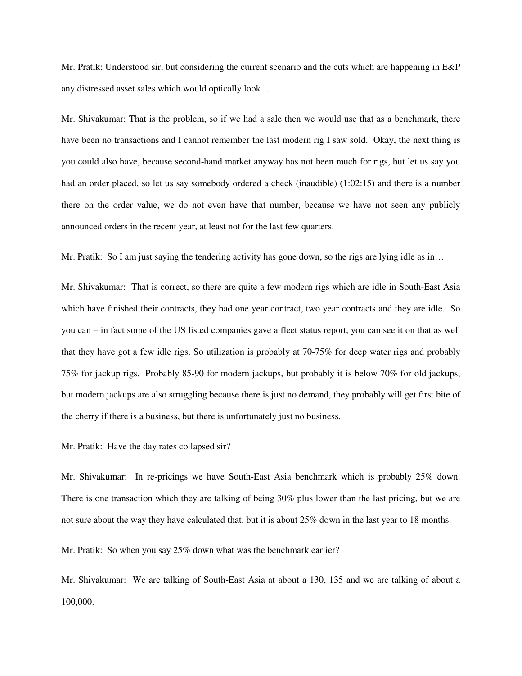Mr. Pratik: Understood sir, but considering the current scenario and the cuts which are happening in E&P any distressed asset sales which would optically look…

Mr. Shivakumar: That is the problem, so if we had a sale then we would use that as a benchmark, there have been no transactions and I cannot remember the last modern rig I saw sold. Okay, the next thing is you could also have, because second-hand market anyway has not been much for rigs, but let us say you had an order placed, so let us say somebody ordered a check (inaudible) (1:02:15) and there is a number there on the order value, we do not even have that number, because we have not seen any publicly announced orders in the recent year, at least not for the last few quarters.

Mr. Pratik: So I am just saying the tendering activity has gone down, so the rigs are lying idle as in…

Mr. Shivakumar: That is correct, so there are quite a few modern rigs which are idle in South-East Asia which have finished their contracts, they had one year contract, two year contracts and they are idle. So you can – in fact some of the US listed companies gave a fleet status report, you can see it on that as well that they have got a few idle rigs. So utilization is probably at 70-75% for deep water rigs and probably 75% for jackup rigs. Probably 85-90 for modern jackups, but probably it is below 70% for old jackups, but modern jackups are also struggling because there is just no demand, they probably will get first bite of the cherry if there is a business, but there is unfortunately just no business.

Mr. Pratik: Have the day rates collapsed sir?

Mr. Shivakumar: In re-pricings we have South-East Asia benchmark which is probably 25% down. There is one transaction which they are talking of being 30% plus lower than the last pricing, but we are not sure about the way they have calculated that, but it is about 25% down in the last year to 18 months.

Mr. Pratik: So when you say 25% down what was the benchmark earlier?

Mr. Shivakumar: We are talking of South-East Asia at about a 130, 135 and we are talking of about a 100,000.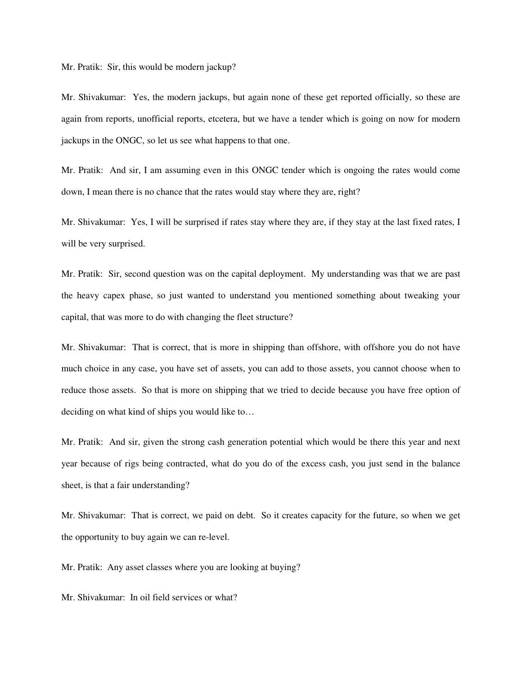Mr. Pratik: Sir, this would be modern jackup?

Mr. Shivakumar: Yes, the modern jackups, but again none of these get reported officially, so these are again from reports, unofficial reports, etcetera, but we have a tender which is going on now for modern jackups in the ONGC, so let us see what happens to that one.

Mr. Pratik: And sir, I am assuming even in this ONGC tender which is ongoing the rates would come down, I mean there is no chance that the rates would stay where they are, right?

Mr. Shivakumar: Yes, I will be surprised if rates stay where they are, if they stay at the last fixed rates, I will be very surprised.

Mr. Pratik: Sir, second question was on the capital deployment. My understanding was that we are past the heavy capex phase, so just wanted to understand you mentioned something about tweaking your capital, that was more to do with changing the fleet structure?

Mr. Shivakumar: That is correct, that is more in shipping than offshore, with offshore you do not have much choice in any case, you have set of assets, you can add to those assets, you cannot choose when to reduce those assets. So that is more on shipping that we tried to decide because you have free option of deciding on what kind of ships you would like to…

Mr. Pratik: And sir, given the strong cash generation potential which would be there this year and next year because of rigs being contracted, what do you do of the excess cash, you just send in the balance sheet, is that a fair understanding?

Mr. Shivakumar: That is correct, we paid on debt. So it creates capacity for the future, so when we get the opportunity to buy again we can re-level.

Mr. Pratik: Any asset classes where you are looking at buying?

Mr. Shivakumar: In oil field services or what?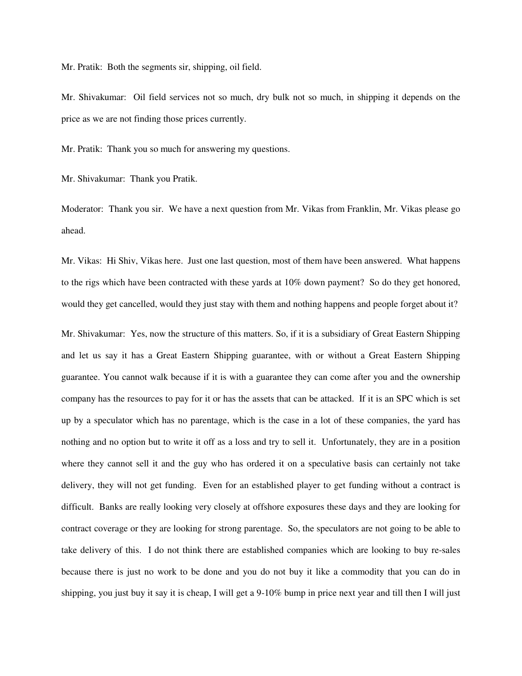Mr. Pratik: Both the segments sir, shipping, oil field.

Mr. Shivakumar: Oil field services not so much, dry bulk not so much, in shipping it depends on the price as we are not finding those prices currently.

Mr. Pratik: Thank you so much for answering my questions.

Mr. Shivakumar: Thank you Pratik.

Moderator: Thank you sir. We have a next question from Mr. Vikas from Franklin, Mr. Vikas please go ahead.

Mr. Vikas: Hi Shiv, Vikas here. Just one last question, most of them have been answered. What happens to the rigs which have been contracted with these yards at 10% down payment? So do they get honored, would they get cancelled, would they just stay with them and nothing happens and people forget about it?

Mr. Shivakumar: Yes, now the structure of this matters. So, if it is a subsidiary of Great Eastern Shipping and let us say it has a Great Eastern Shipping guarantee, with or without a Great Eastern Shipping guarantee. You cannot walk because if it is with a guarantee they can come after you and the ownership company has the resources to pay for it or has the assets that can be attacked. If it is an SPC which is set up by a speculator which has no parentage, which is the case in a lot of these companies, the yard has nothing and no option but to write it off as a loss and try to sell it. Unfortunately, they are in a position where they cannot sell it and the guy who has ordered it on a speculative basis can certainly not take delivery, they will not get funding. Even for an established player to get funding without a contract is difficult. Banks are really looking very closely at offshore exposures these days and they are looking for contract coverage or they are looking for strong parentage. So, the speculators are not going to be able to take delivery of this. I do not think there are established companies which are looking to buy re-sales because there is just no work to be done and you do not buy it like a commodity that you can do in shipping, you just buy it say it is cheap, I will get a 9-10% bump in price next year and till then I will just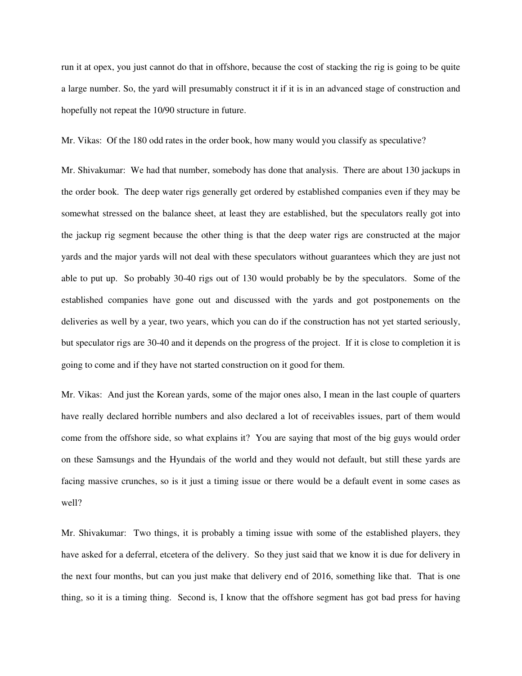run it at opex, you just cannot do that in offshore, because the cost of stacking the rig is going to be quite a large number. So, the yard will presumably construct it if it is in an advanced stage of construction and hopefully not repeat the 10/90 structure in future.

Mr. Vikas: Of the 180 odd rates in the order book, how many would you classify as speculative?

Mr. Shivakumar: We had that number, somebody has done that analysis. There are about 130 jackups in the order book. The deep water rigs generally get ordered by established companies even if they may be somewhat stressed on the balance sheet, at least they are established, but the speculators really got into the jackup rig segment because the other thing is that the deep water rigs are constructed at the major yards and the major yards will not deal with these speculators without guarantees which they are just not able to put up. So probably 30-40 rigs out of 130 would probably be by the speculators. Some of the established companies have gone out and discussed with the yards and got postponements on the deliveries as well by a year, two years, which you can do if the construction has not yet started seriously, but speculator rigs are 30-40 and it depends on the progress of the project. If it is close to completion it is going to come and if they have not started construction on it good for them.

Mr. Vikas: And just the Korean yards, some of the major ones also, I mean in the last couple of quarters have really declared horrible numbers and also declared a lot of receivables issues, part of them would come from the offshore side, so what explains it? You are saying that most of the big guys would order on these Samsungs and the Hyundais of the world and they would not default, but still these yards are facing massive crunches, so is it just a timing issue or there would be a default event in some cases as well?

Mr. Shivakumar: Two things, it is probably a timing issue with some of the established players, they have asked for a deferral, etcetera of the delivery. So they just said that we know it is due for delivery in the next four months, but can you just make that delivery end of 2016, something like that. That is one thing, so it is a timing thing. Second is, I know that the offshore segment has got bad press for having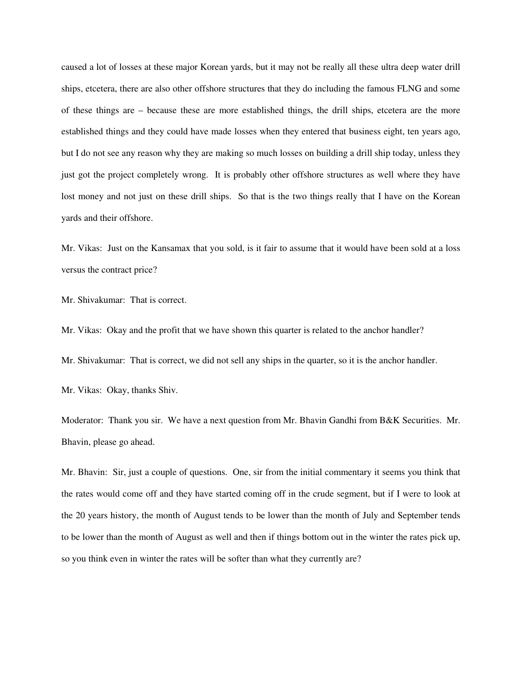caused a lot of losses at these major Korean yards, but it may not be really all these ultra deep water drill ships, etcetera, there are also other offshore structures that they do including the famous FLNG and some of these things are – because these are more established things, the drill ships, etcetera are the more established things and they could have made losses when they entered that business eight, ten years ago, but I do not see any reason why they are making so much losses on building a drill ship today, unless they just got the project completely wrong. It is probably other offshore structures as well where they have lost money and not just on these drill ships. So that is the two things really that I have on the Korean yards and their offshore.

Mr. Vikas: Just on the Kansamax that you sold, is it fair to assume that it would have been sold at a loss versus the contract price?

Mr. Shivakumar: That is correct.

Mr. Vikas: Okay and the profit that we have shown this quarter is related to the anchor handler?

Mr. Shivakumar: That is correct, we did not sell any ships in the quarter, so it is the anchor handler.

Mr. Vikas: Okay, thanks Shiv.

Moderator: Thank you sir. We have a next question from Mr. Bhavin Gandhi from B&K Securities. Mr. Bhavin, please go ahead.

Mr. Bhavin: Sir, just a couple of questions. One, sir from the initial commentary it seems you think that the rates would come off and they have started coming off in the crude segment, but if I were to look at the 20 years history, the month of August tends to be lower than the month of July and September tends to be lower than the month of August as well and then if things bottom out in the winter the rates pick up, so you think even in winter the rates will be softer than what they currently are?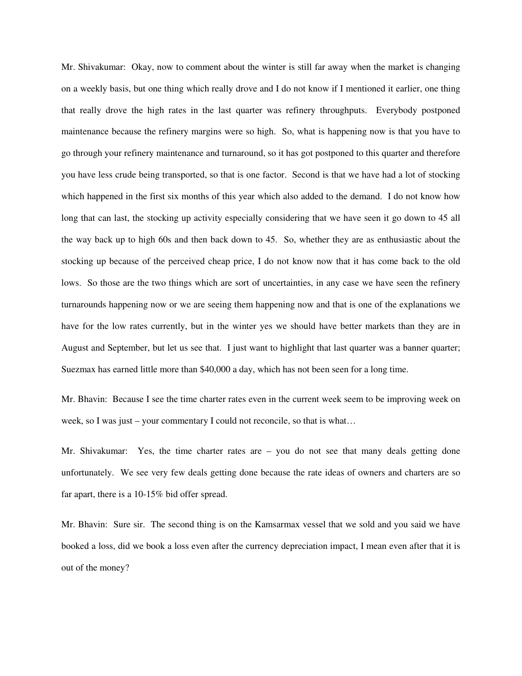Mr. Shivakumar: Okay, now to comment about the winter is still far away when the market is changing on a weekly basis, but one thing which really drove and I do not know if I mentioned it earlier, one thing that really drove the high rates in the last quarter was refinery throughputs. Everybody postponed maintenance because the refinery margins were so high. So, what is happening now is that you have to go through your refinery maintenance and turnaround, so it has got postponed to this quarter and therefore you have less crude being transported, so that is one factor. Second is that we have had a lot of stocking which happened in the first six months of this year which also added to the demand. I do not know how long that can last, the stocking up activity especially considering that we have seen it go down to 45 all the way back up to high 60s and then back down to 45. So, whether they are as enthusiastic about the stocking up because of the perceived cheap price, I do not know now that it has come back to the old lows. So those are the two things which are sort of uncertainties, in any case we have seen the refinery turnarounds happening now or we are seeing them happening now and that is one of the explanations we have for the low rates currently, but in the winter yes we should have better markets than they are in August and September, but let us see that. I just want to highlight that last quarter was a banner quarter; Suezmax has earned little more than \$40,000 a day, which has not been seen for a long time.

Mr. Bhavin: Because I see the time charter rates even in the current week seem to be improving week on week, so I was just – your commentary I could not reconcile, so that is what...

Mr. Shivakumar: Yes, the time charter rates are – you do not see that many deals getting done unfortunately. We see very few deals getting done because the rate ideas of owners and charters are so far apart, there is a 10-15% bid offer spread.

Mr. Bhavin: Sure sir. The second thing is on the Kamsarmax vessel that we sold and you said we have booked a loss, did we book a loss even after the currency depreciation impact, I mean even after that it is out of the money?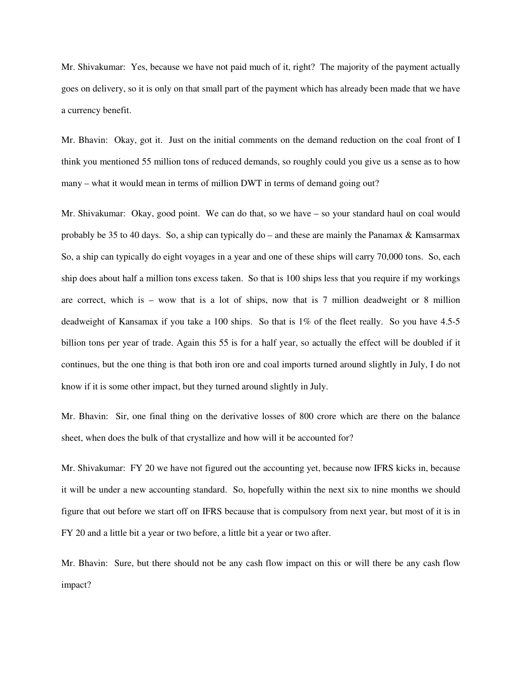Mr. Shivakumar: Yes, because we have not paid much of it, right? The majority of the payment actually goes on delivery, so it is only on that small part of the payment which has already been made that we have a currency benefit.

Mr. Bhavin: Okay, got it. Just on the initial comments on the demand reduction on the coal front of I think you mentioned 55 million tons of reduced demands, so roughly could you give us a sense as to how many – what it would mean in terms of million DWT in terms of demand going out?

Mr. Shivakumar: Okay, good point. We can do that, so we have – so your standard haul on coal would probably be 35 to 40 days. So, a ship can typically do – and these are mainly the Panamax & Kamsarmax So, a ship can typically do eight voyages in a year and one of these ships will carry 70,000 tons. So, each ship does about half a million tons excess taken. So that is 100 ships less that you require if my workings are correct, which is – wow that is a lot of ships, now that is 7 million deadweight or 8 million deadweight of Kansamax if you take a 100 ships. So that is 1% of the fleet really. So you have 4.5-5 billion tons per year of trade. Again this 55 is for a half year, so actually the effect will be doubled if it continues, but the one thing is that both iron ore and coal imports turned around slightly in July, I do not know if it is some other impact, but they turned around slightly in July.

Mr. Bhavin: Sir, one final thing on the derivative losses of 800 crore which are there on the balance sheet, when does the bulk of that crystallize and how will it be accounted for?

Mr. Shivakumar: FY 20 we have not figured out the accounting yet, because now IFRS kicks in, because it will be under a new accounting standard. So, hopefully within the next six to nine months we should figure that out before we start off on IFRS because that is compulsory from next year, but most of it is in FY 20 and a little bit a year or two before, a little bit a year or two after.

Mr. Bhavin: Sure, but there should not be any cash flow impact on this or will there be any cash flow impact?